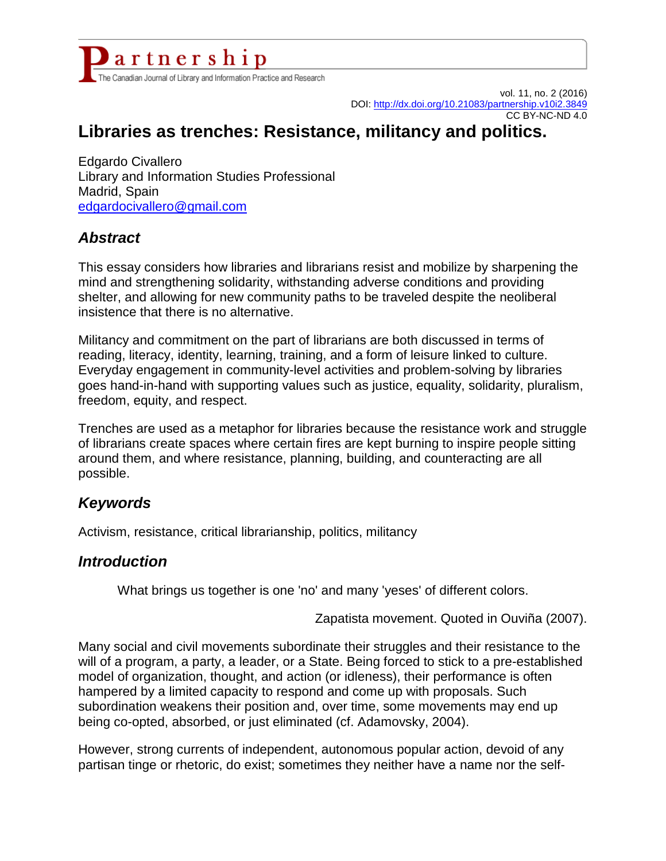

vol. 11, no. 2 (2016) DOI:<http://dx.doi.org/10.21083/partnership.v10i2.3849> CC BY-NC-ND 4.0

# **Libraries as trenches: Resistance, militancy and politics.**

Edgardo Civallero Library and Information Studies Professional Madrid, Spain [edgardocivallero@gmail.com](mailto:edgardocivallero@gmail.com)

#### *Abstract*

This essay considers how libraries and librarians resist and mobilize by sharpening the mind and strengthening solidarity, withstanding adverse conditions and providing shelter, and allowing for new community paths to be traveled despite the neoliberal insistence that there is no alternative.

Militancy and commitment on the part of librarians are both discussed in terms of reading, literacy, identity, learning, training, and a form of leisure linked to culture. Everyday engagement in community-level activities and problem-solving by libraries goes hand-in-hand with supporting values such as justice, equality, solidarity, pluralism, freedom, equity, and respect.

Trenches are used as a metaphor for libraries because the resistance work and struggle of librarians create spaces where certain fires are kept burning to inspire people sitting around them, and where resistance, planning, building, and counteracting are all possible.

#### *Keywords*

Activism, resistance, critical librarianship, politics, militancy

#### *Introduction*

What brings us together is one 'no' and many 'yeses' of different colors.

Zapatista movement. Quoted in Ouviña (2007).

Many social and civil movements subordinate their struggles and their resistance to the will of a program, a party, a leader, or a State. Being forced to stick to a pre-established model of organization, thought, and action (or idleness), their performance is often hampered by a limited capacity to respond and come up with proposals. Such subordination weakens their position and, over time, some movements may end up being co-opted, absorbed, or just eliminated (cf. Adamovsky, 2004).

However, strong currents of independent, autonomous popular action, devoid of any partisan tinge or rhetoric, do exist; sometimes they neither have a name nor the self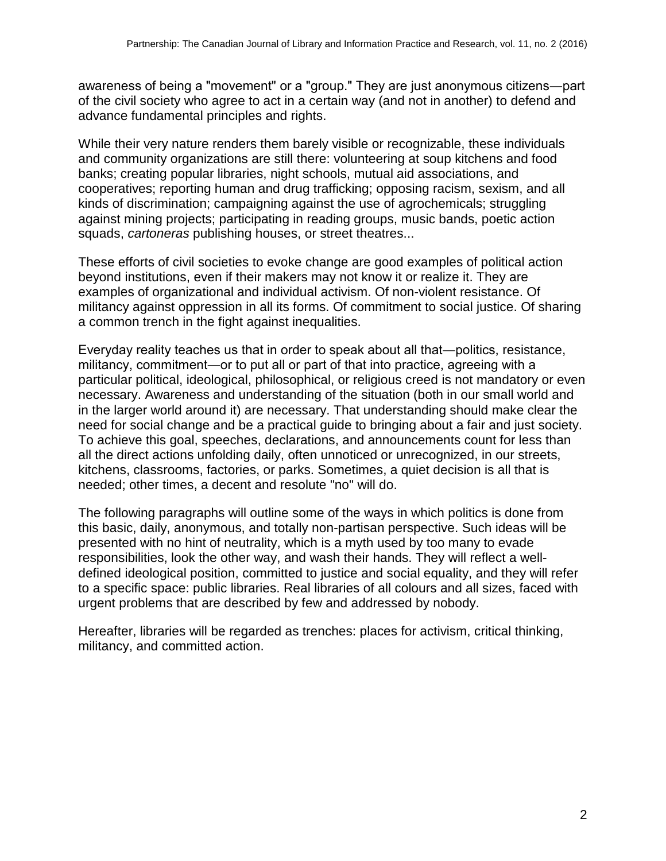awareness of being a "movement" or a "group." They are just anonymous citizens―part of the civil society who agree to act in a certain way (and not in another) to defend and advance fundamental principles and rights.

While their very nature renders them barely visible or recognizable, these individuals and community organizations are still there: volunteering at soup kitchens and food banks; creating popular libraries, night schools, mutual aid associations, and cooperatives; reporting human and drug trafficking; opposing racism, sexism, and all kinds of discrimination; campaigning against the use of agrochemicals; struggling against mining projects; participating in reading groups, music bands, poetic action squads, *cartoneras* publishing houses, or street theatres...

These efforts of civil societies to evoke change are good examples of political action beyond institutions, even if their makers may not know it or realize it. They are examples of organizational and individual activism. Of non-violent resistance. Of militancy against oppression in all its forms. Of commitment to social justice. Of sharing a common trench in the fight against inequalities.

Everyday reality teaches us that in order to speak about all that―politics, resistance, militancy, commitment―or to put all or part of that into practice, agreeing with a particular political, ideological, philosophical, or religious creed is not mandatory or even necessary. Awareness and understanding of the situation (both in our small world and in the larger world around it) are necessary. That understanding should make clear the need for social change and be a practical guide to bringing about a fair and just society. To achieve this goal, speeches, declarations, and announcements count for less than all the direct actions unfolding daily, often unnoticed or unrecognized, in our streets, kitchens, classrooms, factories, or parks. Sometimes, a quiet decision is all that is needed; other times, a decent and resolute "no" will do.

The following paragraphs will outline some of the ways in which politics is done from this basic, daily, anonymous, and totally non-partisan perspective. Such ideas will be presented with no hint of neutrality, which is a myth used by too many to evade responsibilities, look the other way, and wash their hands. They will reflect a welldefined ideological position, committed to justice and social equality, and they will refer to a specific space: public libraries. Real libraries of all colours and all sizes, faced with urgent problems that are described by few and addressed by nobody.

Hereafter, libraries will be regarded as trenches: places for activism, critical thinking, militancy, and committed action.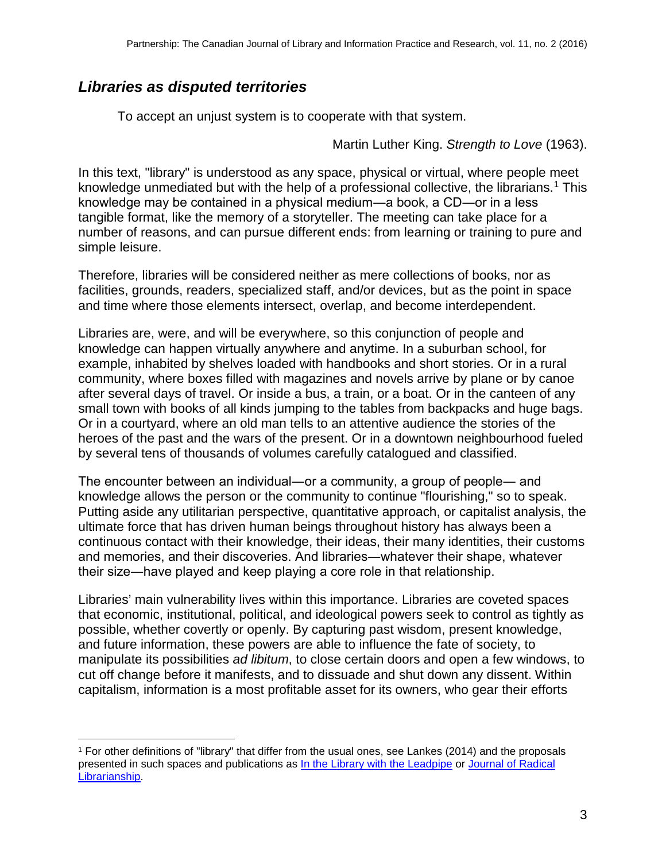# *Libraries as disputed territories*

To accept an unjust system is to cooperate with that system.

Martin Luther King. *Strength to Love* (1963).

In this text, "library" is understood as any space, physical or virtual, where people meet knowledge unmediated but with the help of a professional collective, the librarians.<sup>1</sup> This knowledge may be contained in a physical medium―a book, a CD―or in a less tangible format, like the memory of a storyteller. The meeting can take place for a number of reasons, and can pursue different ends: from learning or training to pure and simple leisure.

Therefore, libraries will be considered neither as mere collections of books, nor as facilities, grounds, readers, specialized staff, and/or devices, but as the point in space and time where those elements intersect, overlap, and become interdependent.

Libraries are, were, and will be everywhere, so this conjunction of people and knowledge can happen virtually anywhere and anytime. In a suburban school, for example, inhabited by shelves loaded with handbooks and short stories. Or in a rural community, where boxes filled with magazines and novels arrive by plane or by canoe after several days of travel. Or inside a bus, a train, or a boat. Or in the canteen of any small town with books of all kinds jumping to the tables from backpacks and huge bags. Or in a courtyard, where an old man tells to an attentive audience the stories of the heroes of the past and the wars of the present. Or in a downtown neighbourhood fueled by several tens of thousands of volumes carefully catalogued and classified.

The encounter between an individual―or a community, a group of people― and knowledge allows the person or the community to continue "flourishing," so to speak. Putting aside any utilitarian perspective, quantitative approach, or capitalist analysis, the ultimate force that has driven human beings throughout history has always been a continuous contact with their knowledge, their ideas, their many identities, their customs and memories, and their discoveries. And libraries―whatever their shape, whatever their size―have played and keep playing a core role in that relationship.

Libraries' main vulnerability lives within this importance. Libraries are coveted spaces that economic, institutional, political, and ideological powers seek to control as tightly as possible, whether covertly or openly. By capturing past wisdom, present knowledge, and future information, these powers are able to influence the fate of society, to manipulate its possibilities *ad libitum*, to close certain doors and open a few windows, to cut off change before it manifests, and to dissuade and shut down any dissent. Within capitalism, information is a most profitable asset for its owners, who gear their efforts

<span id="page-2-0"></span> $\overline{a}$ <sup>1</sup> For other definitions of "library" that differ from the usual ones, see Lankes (2014) and the proposals presented in such spaces and publications as [In the Library with the Leadpipe](http://www.inthelibrarywiththeleadpipe.org/) or Journal of Radical [Librarianship.](http://journal.radicallibrarianship.org/)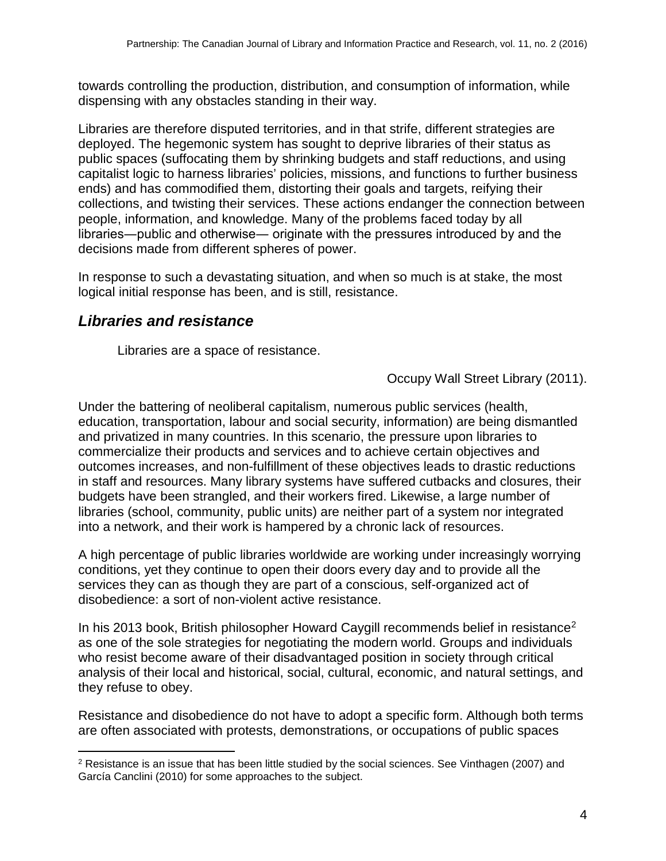towards controlling the production, distribution, and consumption of information, while dispensing with any obstacles standing in their way.

Libraries are therefore disputed territories, and in that strife, different strategies are deployed. The hegemonic system has sought to deprive libraries of their status as public spaces (suffocating them by shrinking budgets and staff reductions, and using capitalist logic to harness libraries' policies, missions, and functions to further business ends) and has commodified them, distorting their goals and targets, reifying their collections, and twisting their services. These actions endanger the connection between people, information, and knowledge. Many of the problems faced today by all libraries―public and otherwise― originate with the pressures introduced by and the decisions made from different spheres of power.

In response to such a devastating situation, and when so much is at stake, the most logical initial response has been, and is still, resistance.

#### *Libraries and resistance*

 $\overline{a}$ 

Libraries are a space of resistance.

#### Occupy Wall Street Library (2011).

Under the battering of neoliberal capitalism, numerous public services (health, education, transportation, labour and social security, information) are being dismantled and privatized in many countries. In this scenario, the pressure upon libraries to commercialize their products and services and to achieve certain objectives and outcomes increases, and non-fulfillment of these objectives leads to drastic reductions in staff and resources. Many library systems have suffered cutbacks and closures, their budgets have been strangled, and their workers fired. Likewise, a large number of libraries (school, community, public units) are neither part of a system nor integrated into a network, and their work is hampered by a chronic lack of resources.

A high percentage of public libraries worldwide are working under increasingly worrying conditions, yet they continue to open their doors every day and to provide all the services they can as though they are part of a conscious, self-organized act of disobedience: a sort of non-violent active resistance.

In his 2013 book, British philosopher Howard Caygill recommends belief in resistance<sup>2</sup> as one of the sole strategies for negotiating the modern world. Groups and individuals who resist become aware of their disadvantaged position in society through critical analysis of their local and historical, social, cultural, economic, and natural settings, and they refuse to obey.

Resistance and disobedience do not have to adopt a specific form. Although both terms are often associated with protests, demonstrations, or occupations of public spaces

<span id="page-3-0"></span><sup>2</sup> Resistance is an issue that has been little studied by the social sciences. See Vinthagen (2007) and García Canclini (2010) for some approaches to the subject.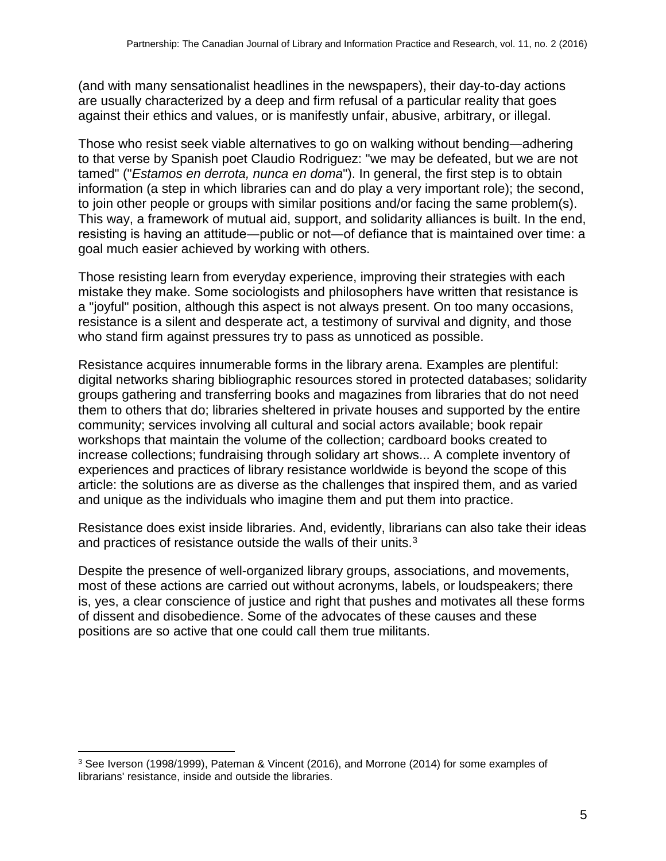(and with many sensationalist headlines in the newspapers), their day-to-day actions are usually characterized by a deep and firm refusal of a particular reality that goes against their ethics and values, or is manifestly unfair, abusive, arbitrary, or illegal.

Those who resist seek viable alternatives to go on walking without bending―adhering to that verse by Spanish poet Claudio Rodriguez: "we may be defeated, but we are not tamed" ("*Estamos en derrota, nunca en doma*"). In general, the first step is to obtain information (a step in which libraries can and do play a very important role); the second, to join other people or groups with similar positions and/or facing the same problem(s). This way, a framework of mutual aid, support, and solidarity alliances is built. In the end, resisting is having an attitude―public or not―of defiance that is maintained over time: a goal much easier achieved by working with others.

Those resisting learn from everyday experience, improving their strategies with each mistake they make. Some sociologists and philosophers have written that resistance is a "joyful" position, although this aspect is not always present. On too many occasions, resistance is a silent and desperate act, a testimony of survival and dignity, and those who stand firm against pressures try to pass as unnoticed as possible.

Resistance acquires innumerable forms in the library arena. Examples are plentiful: digital networks sharing bibliographic resources stored in protected databases; solidarity groups gathering and transferring books and magazines from libraries that do not need them to others that do; libraries sheltered in private houses and supported by the entire community; services involving all cultural and social actors available; book repair workshops that maintain the volume of the collection; cardboard books created to increase collections; fundraising through solidary art shows... A complete inventory of experiences and practices of library resistance worldwide is beyond the scope of this article: the solutions are as diverse as the challenges that inspired them, and as varied and unique as the individuals who imagine them and put them into practice.

Resistance does exist inside libraries. And, evidently, librarians can also take their ideas and practices of resistance outside the walls of their units.<sup>3</sup>

Despite the presence of well-organized library groups, associations, and movements, most of these actions are carried out without acronyms, labels, or loudspeakers; there is, yes, a clear conscience of justice and right that pushes and motivates all these forms of dissent and disobedience. Some of the advocates of these causes and these positions are so active that one could call them true militants.

 $\overline{a}$ 

<span id="page-4-0"></span><sup>3</sup> See Iverson (1998/1999), Pateman & Vincent (2016), and Morrone (2014) for some examples of librarians' resistance, inside and outside the libraries.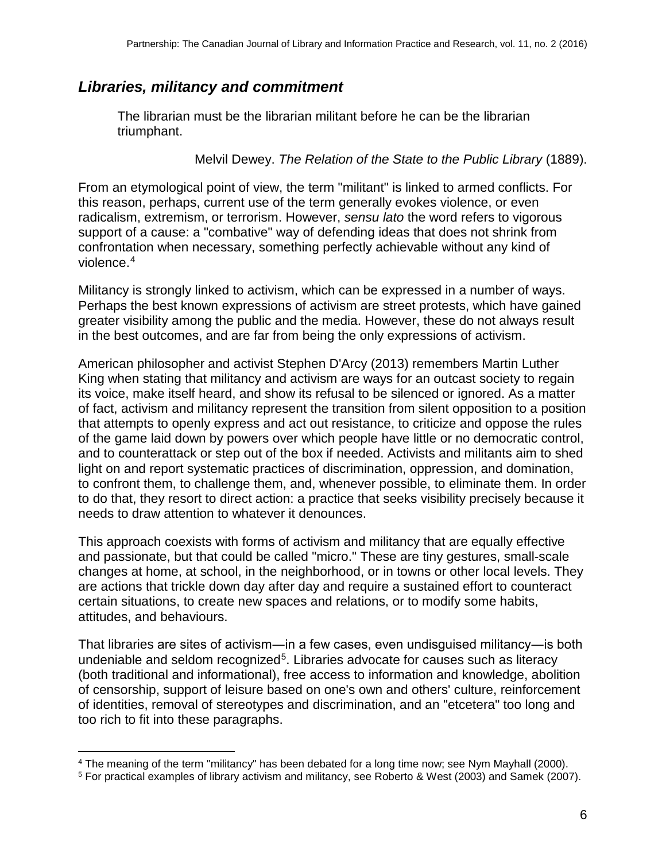## *Libraries, militancy and commitment*

The librarian must be the librarian militant before he can be the librarian triumphant.

Melvil Dewey. *The Relation of the State to the Public Library* (1889).

From an etymological point of view, the term "militant" is linked to armed conflicts. For this reason, perhaps, current use of the term generally evokes violence, or even radicalism, extremism, or terrorism. However, *sensu lato* the word refers to vigorous support of a cause: a "combative" way of defending ideas that does not shrink from confrontation when necessary, something perfectly achievable without any kind of violence.[4](#page-5-0)

Militancy is strongly linked to activism, which can be expressed in a number of ways. Perhaps the best known expressions of activism are street protests, which have gained greater visibility among the public and the media. However, these do not always result in the best outcomes, and are far from being the only expressions of activism.

American philosopher and activist Stephen D'Arcy (2013) remembers Martin Luther King when stating that militancy and activism are ways for an outcast society to regain its voice, make itself heard, and show its refusal to be silenced or ignored. As a matter of fact, activism and militancy represent the transition from silent opposition to a position that attempts to openly express and act out resistance, to criticize and oppose the rules of the game laid down by powers over which people have little or no democratic control, and to counterattack or step out of the box if needed. Activists and militants aim to shed light on and report systematic practices of discrimination, oppression, and domination, to confront them, to challenge them, and, whenever possible, to eliminate them. In order to do that, they resort to direct action: a practice that seeks visibility precisely because it needs to draw attention to whatever it denounces.

This approach coexists with forms of activism and militancy that are equally effective and passionate, but that could be called "micro." These are tiny gestures, small-scale changes at home, at school, in the neighborhood, or in towns or other local levels. They are actions that trickle down day after day and require a sustained effort to counteract certain situations, to create new spaces and relations, or to modify some habits, attitudes, and behaviours.

That libraries are sites of activism―in a few cases, even undisguised militancy―is both undeniable and seldom recognized<sup>[5](#page-5-1)</sup>. Libraries advocate for causes such as literacy (both traditional and informational), free access to information and knowledge, abolition of censorship, support of leisure based on one's own and others' culture, reinforcement of identities, removal of stereotypes and discrimination, and an "etcetera" too long and too rich to fit into these paragraphs.

<span id="page-5-0"></span> $\overline{a}$ <sup>4</sup> The meaning of the term "militancy" has been debated for a long time now; see Nym Mayhall (2000).

<span id="page-5-1"></span><sup>5</sup> For practical examples of library activism and militancy, see Roberto & West (2003) and Samek (2007).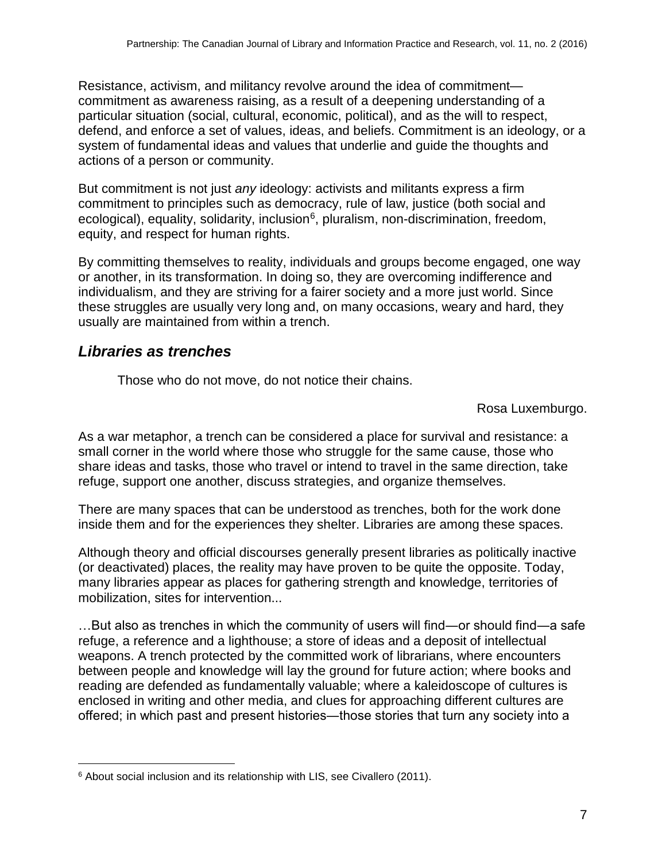Resistance, activism, and militancy revolve around the idea of commitment commitment as awareness raising, as a result of a deepening understanding of a particular situation (social, cultural, economic, political), and as the will to respect, defend, and enforce a set of values, ideas, and beliefs. Commitment is an ideology, or a system of fundamental ideas and values that underlie and guide the thoughts and actions of a person or community.

But commitment is not just *any* ideology: activists and militants express a firm commitment to principles such as democracy, rule of law, justice (both social and ecological), equality, solidarity, inclusion $6$ , pluralism, non-discrimination, freedom, equity, and respect for human rights.

By committing themselves to reality, individuals and groups become engaged, one way or another, in its transformation. In doing so, they are overcoming indifference and individualism, and they are striving for a fairer society and a more just world. Since these struggles are usually very long and, on many occasions, weary and hard, they usually are maintained from within a trench.

# *Libraries as trenches*

Those who do not move, do not notice their chains.

Rosa Luxemburgo.

As a war metaphor, a trench can be considered a place for survival and resistance: a small corner in the world where those who struggle for the same cause, those who share ideas and tasks, those who travel or intend to travel in the same direction, take refuge, support one another, discuss strategies, and organize themselves.

There are many spaces that can be understood as trenches, both for the work done inside them and for the experiences they shelter. Libraries are among these spaces.

Although theory and official discourses generally present libraries as politically inactive (or deactivated) places, the reality may have proven to be quite the opposite. Today, many libraries appear as places for gathering strength and knowledge, territories of mobilization, sites for intervention...

…But also as trenches in which the community of users will find—or should find—a safe refuge, a reference and a lighthouse; a store of ideas and a deposit of intellectual weapons. A trench protected by the committed work of librarians, where encounters between people and knowledge will lay the ground for future action; where books and reading are defended as fundamentally valuable; where a kaleidoscope of cultures is enclosed in writing and other media, and clues for approaching different cultures are offered; in which past and present histories―those stories that turn any society into a

<span id="page-6-0"></span> $\overline{a}$ <sup>6</sup> About social inclusion and its relationship with LIS, see Civallero (2011).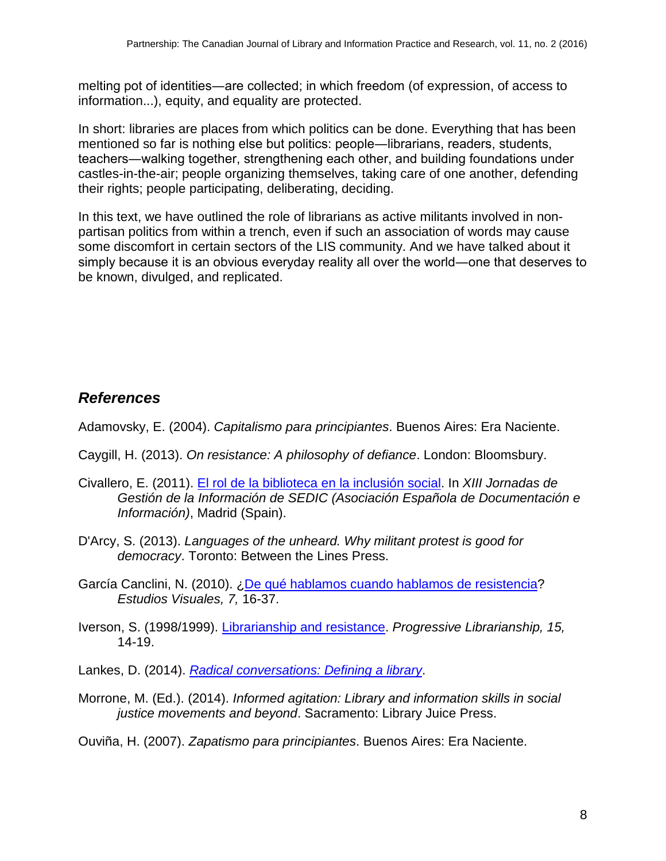melting pot of identities―are collected; in which freedom (of expression, of access to information...), equity, and equality are protected.

In short: libraries are places from which politics can be done. Everything that has been mentioned so far is nothing else but politics: people―librarians, readers, students, teachers―walking together, strengthening each other, and building foundations under castles-in-the-air; people organizing themselves, taking care of one another, defending their rights; people participating, deliberating, deciding.

In this text, we have outlined the role of librarians as active militants involved in nonpartisan politics from within a trench, even if such an association of words may cause some discomfort in certain sectors of the LIS community. And we have talked about it simply because it is an obvious everyday reality all over the world―one that deserves to be known, divulged, and replicated.

# *References*

Adamovsky, E. (2004). *Capitalismo para principiantes*. Buenos Aires: Era Naciente.

- Caygill, H. (2013). *On resistance: A philosophy of defiance*. London: Bloomsbury.
- Civallero, E. (2011). [El rol de la biblioteca en la inclusión social.](http://www.aacademica.org/edgardo.civallero/51.pdf) In *XIII Jornadas de Gestión de la Información de SEDIC (Asociación Española de Documentación e Información)*, Madrid (Spain).
- D'Arcy, S. (2013). *Languages of the unheard. Why militant protest is good for democracy*. Toronto: Between the Lines Press.
- García Canclini, N. (2010). [¿De qué hablamos cuando hablamos de resistencia?](http://www.estudiosvisuales.net/revista/pdf/num7/02_canclini.pdf) *Estudios Visuales, 7,* 16-37.
- Iverson, S. (1998/1999). [Librarianship and resistance.](http://www.progressivelibrariansguild.org/PL_Jnl/pdf/PL15_1998_99.pdf) *Progressive Librarianship, 15,* 14-19.

Lankes, D. (2014). *[Radical conversations: Defining a library](http://davidlankes.org/?page_id=6442)*.

Morrone, M. (Ed.). (2014). *Informed agitation: Library and information skills in social justice movements and beyond*. Sacramento: Library Juice Press.

Ouviña, H. (2007). *Zapatismo para principiantes*. Buenos Aires: Era Naciente.